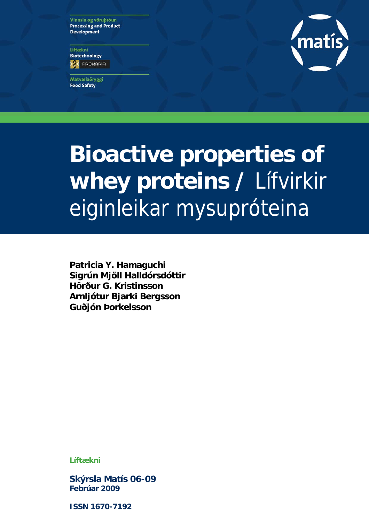Vinnsla og vöruþróun **Processing and Product Development** 

Líftækni **Biotechnology ES** PROHABIA

Matvælaöryggi **Food Safety** 



# **Bioactive properties of whey proteins /** Lífvirkir eiginleikar mysupróteina

**Patricia Y. Hamaguchi Sigrún Mjöll Halldórsdóttir Hörður G. Kristinsson Arnljótur Bjarki Bergsson Guðjón Þorkelsson**

**Líftækni** 

**Skýrsla Matís 06-09 Febrúar 2009** 

**ISSN 1670-7192**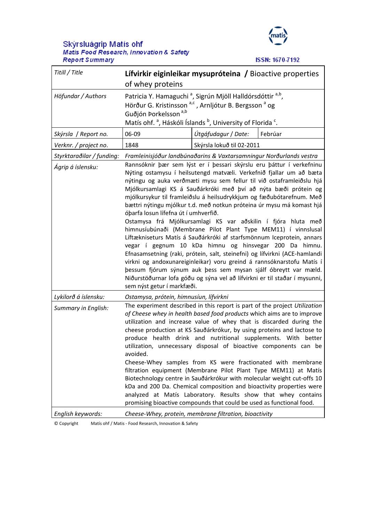# Skýrsluágrip Matís ohf<br>Matis Food Research, Innovation & Safety **Report Summary**



**ISSN: 1670-7192** 

| Titill / Title            | Lífvirkir eiginleikar mysupróteina / Bioactive properties<br>of whey proteins                                                                                                                                                                                                                                                                                                                                                                                                                                                                                                                                                                                                                                                                                                                                                                                                                                                                                                                                                                                                             |                           |         |
|---------------------------|-------------------------------------------------------------------------------------------------------------------------------------------------------------------------------------------------------------------------------------------------------------------------------------------------------------------------------------------------------------------------------------------------------------------------------------------------------------------------------------------------------------------------------------------------------------------------------------------------------------------------------------------------------------------------------------------------------------------------------------------------------------------------------------------------------------------------------------------------------------------------------------------------------------------------------------------------------------------------------------------------------------------------------------------------------------------------------------------|---------------------------|---------|
| Höfundar / Authors        | Patricia Y. Hamaguchi <sup>a</sup> , Sigrún Mjöll Halldórsdóttir <sup>a,b</sup> ,<br>Hörður G. Kristinsson <sup>a,c</sup> , Arnljótur B. Bergsson <sup>a</sup> og<br>Guðjón Þorkelsson <sup>a,b</sup><br>Matís ohf. <sup>a</sup> , Háskóli Íslands <sup>b</sup> , University of Florida <sup>c</sup> .                                                                                                                                                                                                                                                                                                                                                                                                                                                                                                                                                                                                                                                                                                                                                                                    |                           |         |
| Skýrsla / Report no.      | 06-09                                                                                                                                                                                                                                                                                                                                                                                                                                                                                                                                                                                                                                                                                                                                                                                                                                                                                                                                                                                                                                                                                     | Útgáfudagur / Date:       | Febrúar |
| Verknr. / project no.     | 1848                                                                                                                                                                                                                                                                                                                                                                                                                                                                                                                                                                                                                                                                                                                                                                                                                                                                                                                                                                                                                                                                                      | Skýrsla lokuð til 02-2011 |         |
| Styrktaraðilar / funding: | Framleinisjóður landbúnaðarins & Vaxtarsamningur Norðurlands vestra                                                                                                                                                                                                                                                                                                                                                                                                                                                                                                                                                                                                                                                                                                                                                                                                                                                                                                                                                                                                                       |                           |         |
| Ágrip á íslensku:         | Rannsóknir þær sem lýst er í þessari skýrslu eru þáttur í verkefninu<br>Nýting ostamysu í heilsutengd matvæli. Verkefnið fjallar um að bæta<br>nýtingu og auka verðmæti mysu sem fellur til við ostaframleiðslu hjá<br>Mjólkursamlagi KS á Sauðárkróki með því að nýta bæði prótein og<br>mjólkursykur til framleiðslu á heilsudrykkjum og fæðubótarefnum. Með<br>bættri nýtingu mjólkur t.d. með notkun próteina úr mysu má komast hjá<br>óbarfa losun lífefna út í umhverfið.<br>Ostamysa frá Mjólkursamlagi KS var aðskilin í fjóra hluta með<br>himnusíubúnaði (Membrane Pilot Plant Type MEM11) í vinnslusal<br>Líftækniseturs Matís á Sauðárkróki af starfsmönnum Iceprotein, annars<br>vegar í gegnum 10 kDa himnu og hinsvegar 200 Da himnu.<br>Efnasamsetning (raki, prótein, salt, steinefni) og lífvirkni (ACE-hamlandi<br>virkni og andoxunareiginleikar) voru greind á rannsóknarstofu Matís í<br>þessum fjórum sýnum auk þess sem mysan sjálf óbreytt var mæld.<br>Niðurstöðurnar lofa góðu og sýna vel að lífvirkni er til staðar í mysunni,<br>sem nýst getur í markfæði. |                           |         |
| Lykilorð á íslensku:      | Ostamysa, prótein, himnusíun, lífvirkni                                                                                                                                                                                                                                                                                                                                                                                                                                                                                                                                                                                                                                                                                                                                                                                                                                                                                                                                                                                                                                                   |                           |         |
| Summary in English:       | The experiment described in this report is part of the project Utilization<br>of Cheese whey in health based food products which aims are to improve<br>utilization and increase value of whey that is discarded during the<br>cheese production at KS Sauðárkrókur, by using proteins and lactose to<br>produce health drink and nutritional supplements. With better<br>utilization, unnecessary disposal of bioactive components can be<br>avoided.<br>Cheese-Whey samples from KS were fractionated with membrane<br>filtration equipment (Membrane Pilot Plant Type MEM11) at Matís<br>Biotechnology centre in Sauðárkrókur with molecular weight cut-offs 10<br>kDa and 200 Da. Chemical composition and bioactivity properties were<br>analyzed at Matís Laboratory. Results show that whey contains<br>promising bioactive compounds that could be used as functional food.                                                                                                                                                                                                       |                           |         |
| English keywords:         | Cheese-Whey, protein, membrane filtration, bioactivity                                                                                                                                                                                                                                                                                                                                                                                                                                                                                                                                                                                                                                                                                                                                                                                                                                                                                                                                                                                                                                    |                           |         |

© Copyright Matís ohf / Matis ‐ Food Research, Innovation & Safety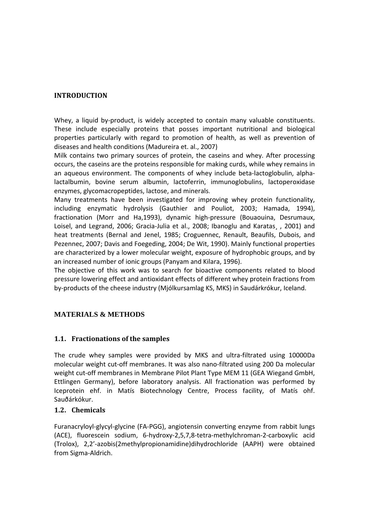#### **INTRODUCTION**

Whey, a liquid by-product, is widely accepted to contain many valuable constituents. These include especially proteins that posses important nutritional and biological properties particularly with regard to promotion of health, as well as prevention of diseases and health conditions (Madureira et. al., 2007)

Milk contains two primary sources of protein, the caseins and whey. After processing occurs, the caseins are the proteins responsible for making curds, while whey remains in an aqueous environment. The components of whey include beta-lactoglobulin, alphalactalbumin, bovine serum albumin, lactoferrin, immunoglobulins, lactoperoxidase enzymes, glycomacropeptides, lactose, and minerals.

Many treatments have been investigated for improving whey protein functionality, including enzymatic hydrolysis (Gauthier and Pouliot, 2003; Hamada, 1994), fractionation (Morr and Ha,1993), dynamic high‐pressure (Bouaouina, Desrumaux, Loisel, and Legrand, 2006; Gracia-Julia et al., 2008; Ibanoglu and Karatas, , 2001) and heat treatments (Bernal and Jenel, 1985; Croguennec, Renault, Beaufils, Dubois, and Pezennec, 2007; Davis and Foegeding, 2004; De Wit, 1990). Mainly functional properties are characterized by a lower molecular weight, exposure of hydrophobic groups, and by an increased number of ionic groups (Panyam and Kilara, 1996).

The objective of this work was to search for bioactive components related to blood pressure lowering effect and antioxidant effects of different whey protein fractions from by‐products of the cheese industry (Mjólkursamlag KS, MKS) in Saudárkrókur, Iceland.

## **MATERIALS & METHODS**

#### **1.1. Fractionations of the samples**

The crude whey samples were provided by MKS and ultra‐filtrated using 10000Da molecular weight cut‐off membranes. It was also nano‐filtrated using 200 Da molecular weight cut-off membranes in Membrane Pilot Plant Type MEM 11 (GEA Wiegand GmbH, Ettlingen Germany), before laboratory analysis. All fractionation was performed by Iceprotein ehf. in Matís Biotechnology Centre, Process facility, of Matís ohf. Sauðárkókur.

#### **1.2. Chemicals**

Furanacryloyl‐glycyl‐glycine (FA‐PGG), angiotensin converting enzyme from rabbit lungs (ACE), fluorescein sodium, 6‐hydroxy‐2,5,7,8‐tetra‐methylchroman‐2‐carboxylic acid (Trolox), 2,2'‐azobis(2methylpropionamidine)dihydrochloride (AAPH) were obtained from Sigma‐Aldrich.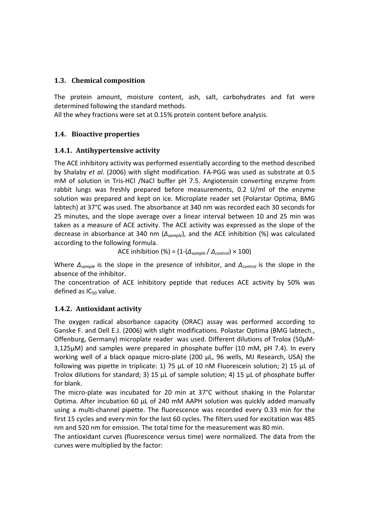#### **1.3. Chemical composition**

The protein amount, moisture content, ash, salt, carbohydrates and fat were determined following the standard methods.

All the whey fractions were set at 0.15% protein content before analysis.

#### **1.4. Bioactive properties**

#### **1.4.1. Antihypertensive activity**

The ACE inhibitory activity was performed essentially according to the method described by Shalaby *et al.* (2006) with slight modification. FA‐PGG was used as substrate at 0.5 mM of solution in Tris‐HCl /NaCl buffer pH 7.5. Angiotensin converting enzyme from rabbit lungs was freshly prepared before measurements, 0.2 U/ml of the enzyme solution was prepared and kept on ice. Microplate reader set (Polarstar Optima, BMG labtech) at 37°C was used. The absorbance at 340 nm was recorded each 30 seconds for 25 minutes, and the slope average over a linear interval between 10 and 25 min was taken as a measure of ACE activity. The ACE activity was expressed as the slope of the decrease in absorbance at 340 nm (*∆sample*), and the ACE inhibition (%) was calculated according to the following formula.

ACE inhibition (%) = (1‐(*∆sample* / *∆control*) × 100)

Where *∆sample* is the slope in the presence of inhibitor, and *∆control* is the slope in the absence of the inhibitor.

The concentration of ACE inhibitory peptide that reduces ACE activity by 50% was defined as  $IC_{50}$  value.

## **1.4.2. Antioxidant activity**

The oxygen radical absorbance capacity (ORAC) assay was performed according to Ganske F. and Dell E.J. (2006) with slight modifications. Polastar Optima (BMG labtech., Offenburg, Germany) microplate reader was used. Different dilutions of Trolox (50µM‐ 3,125µM) and samples were prepared in phosphate buffer (10 mM, pH 7.4). In every working well of a black opaque micro-plate (200 µL, 96 wells, MJ Research, USA) the following was pipette in triplicate: 1) 75  $\mu$ L of 10 nM Fluorescein solution; 2) 15  $\mu$ L of Trolox dilutions for standard; 3) 15  $\mu$ L of sample solution; 4) 15  $\mu$ L of phosphate buffer for blank.

The micro-plate was incubated for 20 min at 37°C without shaking in the Polarstar Optima. After incubation 60 µL of 240 mM AAPH solution was quickly added manually using a multi‐channel pipette. The fluorescence was recorded every 0.33 min for the first 15 cycles and every min for the last 60 cycles. The filters used for excitation was 485 nm and 520 nm for emission. The total time for the measurement was 80 min.

The antioxidant curves (fluorescence versus time) were normalized. The data from the curves were multiplied by the factor: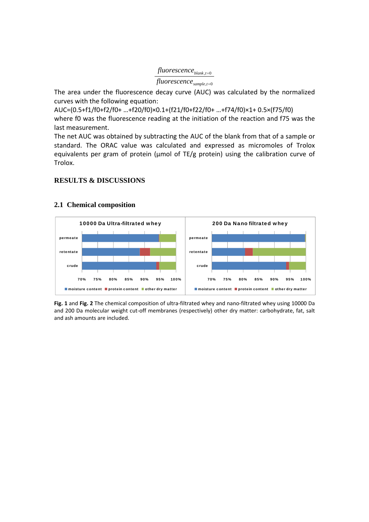## , 0 = *blank t fluorescence*

```
, 0
=
sample t
fluorescence
```
The area under the fluorescence decay curve (AUC) was calculated by the normalized curves with the following equation:

AUC=(0.5+f1/f0+f2/f0+ …+f20/f0)×0.1+(f21/f0+f22/f0+ …+f74/f0)×1+ 0.5×(f75/f0) where f0 was the fluorescence reading at the initiation of the reaction and f75 was the last measurement.

The net AUC was obtained by subtracting the AUC of the blank from that of a sample or standard. The ORAC value was calculated and expressed as micromoles of Trolox equivalents per gram of protein (μmol of TE/g protein) using the calibration curve of Trolox.

#### **RESULTS & DISCUSSIONS**



#### **2.1 Chemical composition**

**Fig. 1** and **Fig. 2** The chemical composition of ultra‐filtrated whey and nano‐filtrated whey using 10000 Da and 200 Da molecular weight cut-off membranes (respectively) other dry matter: carbohydrate, fat, salt and ash amounts are included.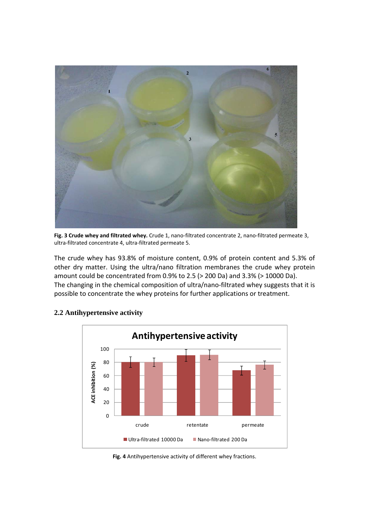

**Fig. 3 Crude whey and filtrated whey.** Crude 1, nano‐filtrated concentrate 2, nano‐filtrated permeate 3, ultra‐filtrated concentrate 4, ultra‐filtrated permeate 5.

The crude whey has 93.8% of moisture content, 0.9% of protein content and 5.3% of other dry matter. Using the ultra/nano filtration membranes the crude whey protein amount could be concentrated from 0.9% to 2.5 (> 200 Da) and 3.3% (> 10000 Da). The changing in the chemical composition of ultra/nano-filtrated whey suggests that it is possible to concentrate the whey proteins for further applications or treatment.



#### **2.2 Antihypertensive activity**

**Fig. 4** Antihypertensive activity of different whey fractions.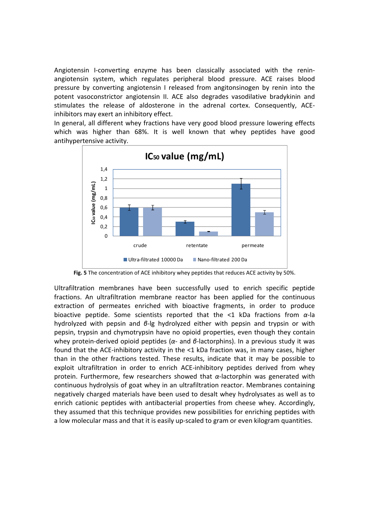Angiotensin I‐converting enzyme has been classically associated with the renin‐ angiotensin system, which regulates peripheral blood pressure. ACE raises blood pressure by converting angiotensin I released from angitonsinogen by renin into the potent vasoconstrictor angiotensin II. ACE also degrades vasodilative bradykinin and stimulates the release of aldosterone in the adrenal cortex. Consequently, ACE‐ inhibitors may exert an inhibitory effect.

In general, all different whey fractions have very good blood pressure lowering effects which was higher than 68%. It is well known that whey peptides have good antihypertensive activity.



**Fig. 5** The concentration of ACE inhibitory whey peptides that reduces ACE activity by 50%.

Ultrafiltration membranes have been successfully used to enrich specific peptide fractions. An ultrafiltration membrane reactor has been applied for the continuous extraction of permeates enriched with bioactive fragments, in order to produce bioactive peptide. Some scientists reported that the <1 kDa fractions from *α*‐la hydrolyzed with pepsin and *β*‐lg hydrolyzed either with pepsin and trypsin or with pepsin, trypsin and chymotrypsin have no opioid properties, even though they contain whey protein‐derived opioid peptides (*α*‐ and *β*‐lactorphins). In a previous study it was found that the ACE-inhibitory activity in the <1 kDa fraction was, in many cases, higher than in the other fractions tested. These results, indicate that it may be possible to exploit ultrafiltration in order to enrich ACE‐inhibitory peptides derived from whey protein. Furthermore, few researchers showed that *α*‐lactorphin was generated with continuous hydrolysis of goat whey in an ultrafiltration reactor. Membranes containing negatively charged materials have been used to desalt whey hydrolysates as well as to enrich cationic peptides with antibacterial properties from cheese whey. Accordingly, they assumed that this technique provides new possibilities for enriching peptides with a low molecular mass and that it is easily up-scaled to gram or even kilogram quantities.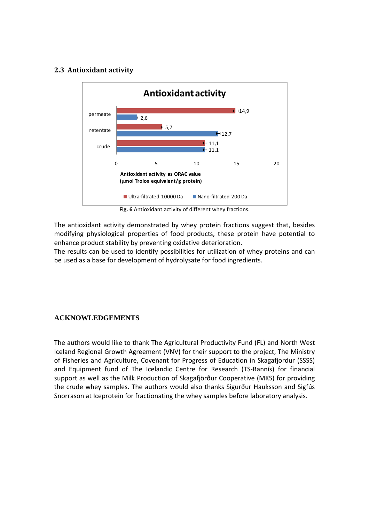#### **2.3 Antioxidant activity**



**Fig. 6** Antioxidant activity of different whey fractions.

The antioxidant activity demonstrated by whey protein fractions suggest that, besides modifying physiological properties of food products, these protein have potential to enhance product stability by preventing oxidative deterioration.

The results can be used to identify possibilities for utilization of whey proteins and can be used as a base for development of hydrolysate for food ingredients.

#### **ACKNOWLEDGEMENTS**

The authors would like to thank The Agricultural Productivity Fund (FL) and North West Iceland Regional Growth Agreement (VNV) for their support to the project, The Ministry of Fisheries and Agriculture, Covenant for Progress of Education in Skagafjordur (SSSS) and Equipment fund of The Icelandic Centre for Research (TS‐Rannís) for financial support as well as the Milk Production of Skagafjörður Cooperative (MKS) for providing the crude whey samples. The authors would also thanks Sigurður Hauksson and Sigfús Snorrason at Iceprotein for fractionating the whey samples before laboratory analysis.